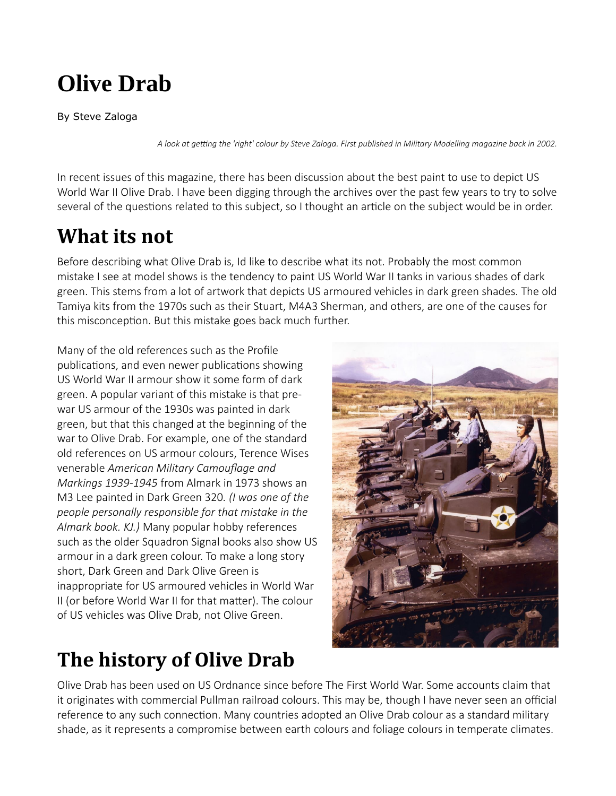# **Olive Drab**

By Steve Zaloga

*A look at getting the 'right' colour by Steve Zaloga. First published in Military Modelling magazine back in 2002.*

In recent issues of this magazine, there has been discussion about the best paint to use to depict US World War II Olive Drab. I have been digging through the archives over the past few years to try to solve several of the questions related to this subject, so I thought an article on the subject would be in order.

#### **What its not**

Before describing what Olive Drab is, Id like to describe what its not. Probably the most common mistake I see at model shows is the tendency to paint US World War II tanks in various shades of dark green. This stems from a lot of artwork that depicts US armoured vehicles in dark green shades. The old Tamiya kits from the 1970s such as their Stuart, M4A3 Sherman, and others, are one of the causes for this misconception. But this mistake goes back much further.

Many of the old references such as the Profile publications, and even newer publications showing US World War II armour show it some form of dark green. A popular variant of this mistake is that prewar US armour of the 1930s was painted in dark green, but that this changed at the beginning of the war to Olive Drab. For example, one of the standard old references on US armour colours, Terence Wises venerable *American Military Camouflage and Markings 1939-1945* from Almark in 1973 shows an M3 Lee painted in Dark Green 320*. (I was one of the people personally responsible for that mistake in the Almark book. KJ.)* Many popular hobby references such as the older Squadron Signal books also show US armour in a dark green colour. To make a long story short, Dark Green and Dark Olive Green is inappropriate for US armoured vehicles in World War II (or before World War II for that matter). The colour of US vehicles was Olive Drab, not Olive Green.

# **The history of Olive Drab**



Olive Drab has been used on US Ordnance since before The First World War. Some accounts claim that it originates with commercial Pullman railroad colours. This may be, though I have never seen an official reference to any such connection. Many countries adopted an Olive Drab colour as a standard military shade, as it represents a compromise between earth colours and foliage colours in temperate climates.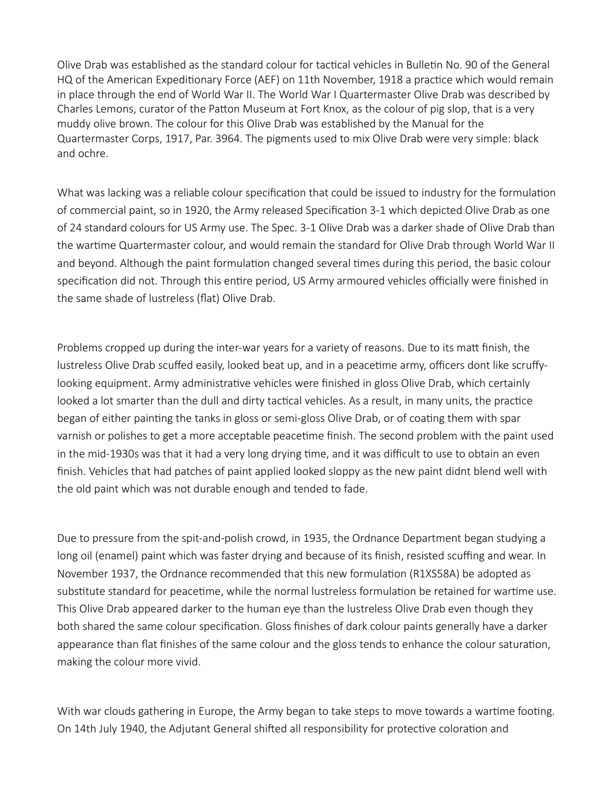Olive Drab was established as the standard colour for tactical vehicles in Bulletin No. 90 of the General HQ of the American Expeditionary Force (AEF) on 11th November, 1918 a practice which would remain in place through the end of World War II. The World War I Quartermaster Olive Drab was described by Charles Lemons, curator of the Patton Museum at Fort Knox, as the colour of pig slop, that is a very muddy olive brown. The colour for this Olive Drab was established by the Manual for the Quartermaster Corps, 1917, Par. 3964. The pigments used to mix Olive Drab were very simple: black and ochre.

What was lacking was a reliable colour specification that could be issued to industry for the formulation of commercial paint, so in 1920, the Army released Specification 3-1 which depicted Olive Drab as one of 24 standard colours for US Army use. The Spec. 3-1 Olive Drab was a darker shade of Olive Drab than the wartime Quartermaster colour, and would remain the standard for Olive Drab through World War II and beyond. Although the paint formulation changed several times during this period, the basic colour specification did not. Through this entire period, US Army armoured vehicles officially were finished in the same shade of lustreless (flat) Olive Drab.

Problems cropped up during the inter-war years for a variety of reasons. Due to its matt finish, the lustreless Olive Drab scuffed easily, looked beat up, and in a peacetime army, officers dont like scruffylooking equipment. Army administrative vehicles were finished in gloss Olive Drab, which certainly looked a lot smarter than the dull and dirty tactical vehicles. As a result, in many units, the practice began of either painting the tanks in gloss or semi-gloss Olive Drab, or of coating them with spar varnish or polishes to get a more acceptable peacetime finish. The second problem with the paint used in the mid-1930s was that it had a very long drying time, and it was difficult to use to obtain an even finish. Vehicles that had patches of paint applied looked sloppy as the new paint didnt blend well with the old paint which was not durable enough and tended to fade.

Due to pressure from the spit-and-polish crowd, in 1935, the Ordnance Department began studying a long oil (enamel) paint which was faster drying and because of its finish, resisted scuffing and wear. In November 1937, the Ordnance recommended that this new formulation (R1XS58A) be adopted as substitute standard for peacetime, while the normal lustreless formulation be retained for wartime use. This Olive Drab appeared darker to the human eye than the lustreless Olive Drab even though they both shared the same colour specification. Gloss finishes of dark colour paints generally have a darker appearance than flat finishes of the same colour and the gloss tends to enhance the colour saturation, making the colour more vivid.

With war clouds gathering in Europe, the Army began to take steps to move towards a wartime footing. On 14th July 1940, the Adjutant General shifted all responsibility for protective coloration and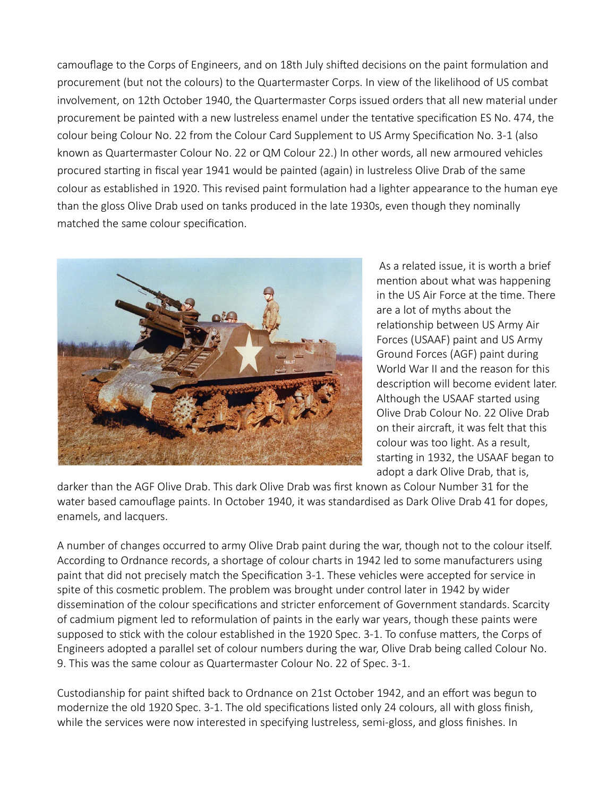camouflage to the Corps of Engineers, and on 18th July shifted decisions on the paint formulation and procurement (but not the colours) to the Quartermaster Corps. In view of the likelihood of US combat involvement, on 12th October 1940, the Quartermaster Corps issued orders that all new material under procurement be painted with a new lustreless enamel under the tentative specification ES No. 474, the colour being Colour No. 22 from the Colour Card Supplement to US Army Specification No. 3-1 (also known as Quartermaster Colour No. 22 or QM Colour 22.) In other words, all new armoured vehicles procured starting in fiscal year 1941 would be painted (again) in lustreless Olive Drab of the same colour as established in 1920. This revised paint formulation had a lighter appearance to the human eye than the gloss Olive Drab used on tanks produced in the late 1930s, even though they nominally matched the same colour specification.



As a related issue, it is worth a brief mention about what was happening in the US Air Force at the time. There are a lot of myths about the relationship between US Army Air Forces (USAAF) paint and US Army Ground Forces (AGF) paint during World War II and the reason for this description will become evident later. Although the USAAF started using Olive Drab Colour No. 22 Olive Drab on their aircraft, it was felt that this colour was too light. As a result, starting in 1932, the USAAF began to adopt a dark Olive Drab, that is,

darker than the AGF Olive Drab. This dark Olive Drab was first known as Colour Number 31 for the water based camouflage paints. In October 1940, it was standardised as Dark Olive Drab 41 for dopes, enamels, and lacquers.

A number of changes occurred to army Olive Drab paint during the war, though not to the colour itself. According to Ordnance records, a shortage of colour charts in 1942 led to some manufacturers using paint that did not precisely match the Specification 3-1. These vehicles were accepted for service in spite of this cosmetic problem. The problem was brought under control later in 1942 by wider dissemination of the colour specifications and stricter enforcement of Government standards. Scarcity of cadmium pigment led to reformulation of paints in the early war years, though these paints were supposed to stick with the colour established in the 1920 Spec. 3-1. To confuse matters, the Corps of Engineers adopted a parallel set of colour numbers during the war, Olive Drab being called Colour No. 9. This was the same colour as Quartermaster Colour No. 22 of Spec. 3-1.

Custodianship for paint shifted back to Ordnance on 21st October 1942, and an effort was begun to modernize the old 1920 Spec. 3-1. The old specifications listed only 24 colours, all with gloss finish, while the services were now interested in specifying lustreless, semi-gloss, and gloss finishes. In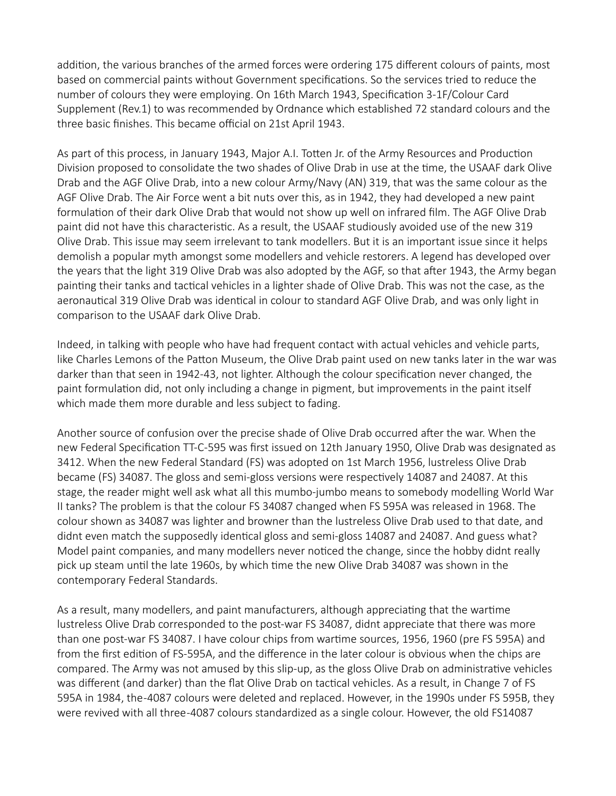addition, the various branches of the armed forces were ordering 175 different colours of paints, most based on commercial paints without Government specifications. So the services tried to reduce the number of colours they were employing. On 16th March 1943, Specification 3-1F/Colour Card Supplement (Rev.1) to was recommended by Ordnance which established 72 standard colours and the three basic finishes. This became official on 21st April 1943.

As part of this process, in January 1943, Major A.I. Totten Jr. of the Army Resources and Production Division proposed to consolidate the two shades of Olive Drab in use at the time, the USAAF dark Olive Drab and the AGF Olive Drab, into a new colour Army/Navy (AN) 319, that was the same colour as the AGF Olive Drab. The Air Force went a bit nuts over this, as in 1942, they had developed a new paint formulation of their dark Olive Drab that would not show up well on infrared film. The AGF Olive Drab paint did not have this characteristic. As a result, the USAAF studiously avoided use of the new 319 Olive Drab. This issue may seem irrelevant to tank modellers. But it is an important issue since it helps demolish a popular myth amongst some modellers and vehicle restorers. A legend has developed over the years that the light 319 Olive Drab was also adopted by the AGF, so that after 1943, the Army began painting their tanks and tactical vehicles in a lighter shade of Olive Drab. This was not the case, as the aeronautical 319 Olive Drab was identical in colour to standard AGF Olive Drab, and was only light in comparison to the USAAF dark Olive Drab.

Indeed, in talking with people who have had frequent contact with actual vehicles and vehicle parts, like Charles Lemons of the Patton Museum, the Olive Drab paint used on new tanks later in the war was darker than that seen in 1942-43, not lighter. Although the colour specification never changed, the paint formulation did, not only including a change in pigment, but improvements in the paint itself which made them more durable and less subject to fading.

Another source of confusion over the precise shade of Olive Drab occurred after the war. When the new Federal Specification TT-C-595 was first issued on 12th January 1950, Olive Drab was designated as 3412. When the new Federal Standard (FS) was adopted on 1st March 1956, lustreless Olive Drab became (FS) 34087. The gloss and semi-gloss versions were respectively 14087 and 24087. At this stage, the reader might well ask what all this mumbo-jumbo means to somebody modelling World War II tanks? The problem is that the colour FS 34087 changed when FS 595A was released in 1968. The colour shown as 34087 was lighter and browner than the lustreless Olive Drab used to that date, and didnt even match the supposedly identical gloss and semi-gloss 14087 and 24087. And guess what? Model paint companies, and many modellers never noticed the change, since the hobby didnt really pick up steam until the late 1960s, by which time the new Olive Drab 34087 was shown in the contemporary Federal Standards.

As a result, many modellers, and paint manufacturers, although appreciating that the wartime lustreless Olive Drab corresponded to the post-war FS 34087, didnt appreciate that there was more than one post-war FS 34087. I have colour chips from wartime sources, 1956, 1960 (pre FS 595A) and from the first edition of FS-595A, and the difference in the later colour is obvious when the chips are compared. The Army was not amused by this slip-up, as the gloss Olive Drab on administrative vehicles was different (and darker) than the flat Olive Drab on tactical vehicles. As a result, in Change 7 of FS 595A in 1984, the -4087 colours were deleted and replaced. However, in the 1990s under FS 595B, they were revived with all three -4087 colours standardized as a single colour. However, the old FS14087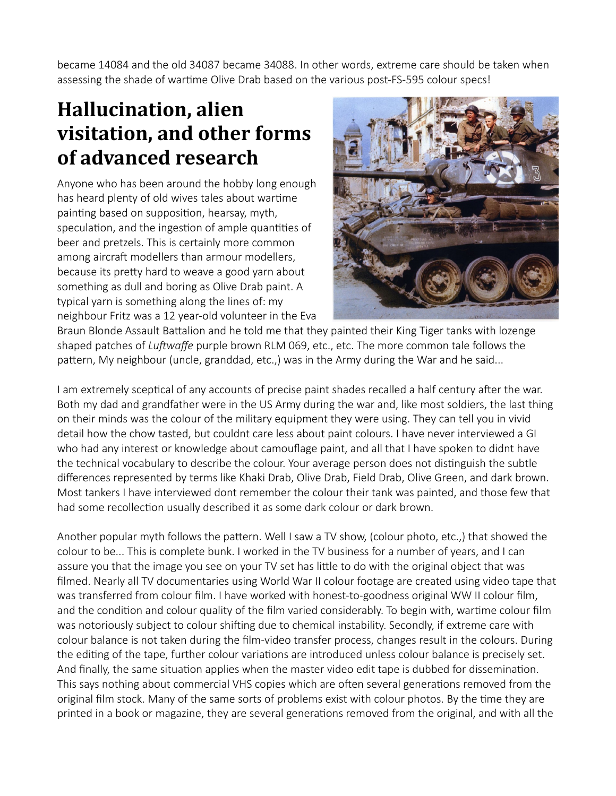became 14084 and the old 34087 became 34088. In other words, extreme care should be taken when assessing the shade of wartime Olive Drab based on the various post-FS-595 colour specs!

#### **Hallucination, alien visitation, and other forms of advanced research**

Anyone who has been around the hobby long enough has heard plenty of old wives tales about wartime painting based on supposition, hearsay, myth, speculation, and the ingestion of ample quantities of beer and pretzels. This is certainly more common among aircraft modellers than armour modellers, because its pretty hard to weave a good yarn about something as dull and boring as Olive Drab paint. A typical yarn is something along the lines of: my neighbour Fritz was a 12 year-old volunteer in the Eva



Braun Blonde Assault Battalion and he told me that they painted their King Tiger tanks with lozenge shaped patches of *Luftwaffe* purple brown RLM 069, etc., etc. The more common tale follows the pattern, My neighbour (uncle, granddad, etc.,) was in the Army during the War and he said...

I am extremely sceptical of any accounts of precise paint shades recalled a half century after the war. Both my dad and grandfather were in the US Army during the war and, like most soldiers, the last thing on their minds was the colour of the military equipment they were using. They can tell you in vivid detail how the chow tasted, but couldnt care less about paint colours. I have never interviewed a GI who had any interest or knowledge about camouflage paint, and all that I have spoken to didnt have the technical vocabulary to describe the colour. Your average person does not distinguish the subtle differences represented by terms like Khaki Drab, Olive Drab, Field Drab, Olive Green, and dark brown. Most tankers I have interviewed dont remember the colour their tank was painted, and those few that had some recollection usually described it as some dark colour or dark brown.

Another popular myth follows the pattern. Well I saw a TV show, (colour photo, etc.,) that showed the colour to be... This is complete bunk. I worked in the TV business for a number of years, and I can assure you that the image you see on your TV set has little to do with the original object that was filmed. Nearly all TV documentaries using World War II colour footage are created using video tape that was transferred from colour film. I have worked with honest-to-goodness original WW II colour film, and the condition and colour quality of the film varied considerably. To begin with, wartime colour film was notoriously subject to colour shifting due to chemical instability. Secondly, if extreme care with colour balance is not taken during the film-video transfer process, changes result in the colours. During the editing of the tape, further colour variations are introduced unless colour balance is precisely set. And finally, the same situation applies when the master video edit tape is dubbed for dissemination. This says nothing about commercial VHS copies which are often several generations removed from the original film stock. Many of the same sorts of problems exist with colour photos. By the time they are printed in a book or magazine, they are several generations removed from the original, and with all the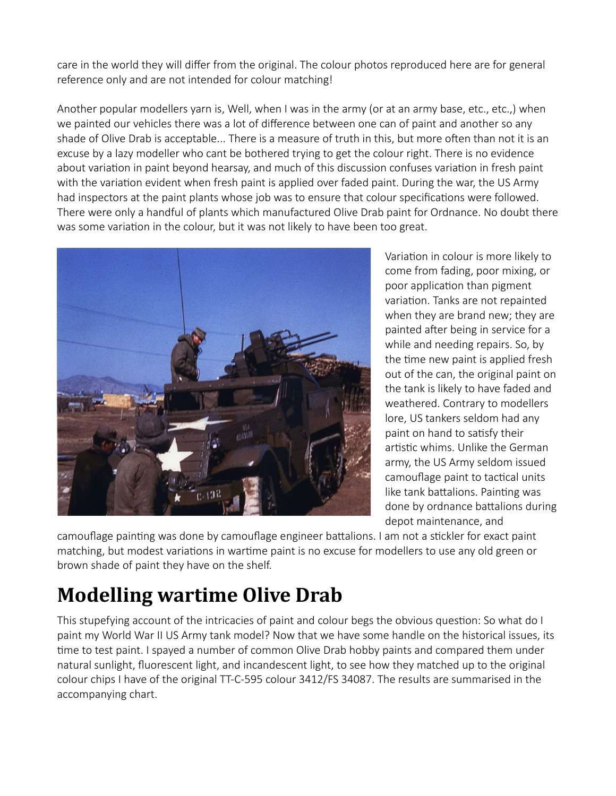care in the world they will differ from the original. The colour photos reproduced here are for general reference only and are not intended for colour matching!

Another popular modellers yarn is, Well, when I was in the army (or at an army base, etc., etc.,) when we painted our vehicles there was a lot of difference between one can of paint and another so any shade of Olive Drab is acceptable... There is a measure of truth in this, but more often than not it is an excuse by a lazy modeller who cant be bothered trying to get the colour right. There is no evidence about variation in paint beyond hearsay, and much of this discussion confuses variation in fresh paint with the variation evident when fresh paint is applied over faded paint. During the war, the US Army had inspectors at the paint plants whose job was to ensure that colour specifications were followed. There were only a handful of plants which manufactured Olive Drab paint for Ordnance. No doubt there was some variation in the colour, but it was not likely to have been too great.



Variation in colour is more likely to come from fading, poor mixing, or poor application than pigment variation. Tanks are not repainted when they are brand new; they are painted after being in service for a while and needing repairs. So, by the time new paint is applied fresh out of the can, the original paint on the tank is likely to have faded and weathered. Contrary to modellers lore, US tankers seldom had any paint on hand to satisfy their artistic whims. Unlike the German army, the US Army seldom issued camouflage paint to tactical units like tank battalions. Painting was done by ordnance battalions during depot maintenance, and

camouflage painting was done by camouflage engineer battalions. I am not a stickler for exact paint matching, but modest variations in wartime paint is no excuse for modellers to use any old green or brown shade of paint they have on the shelf.

## **Modelling wartime Olive Drab**

This stupefying account of the intricacies of paint and colour begs the obvious question: So what do I paint my World War II US Army tank model? Now that we have some handle on the historical issues, its time to test paint. I spayed a number of common Olive Drab hobby paints and compared them under natural sunlight, fluorescent light, and incandescent light, to see how they matched up to the original colour chips I have of the original TT-C-595 colour 3412/FS 34087. The results are summarised in the accompanying chart.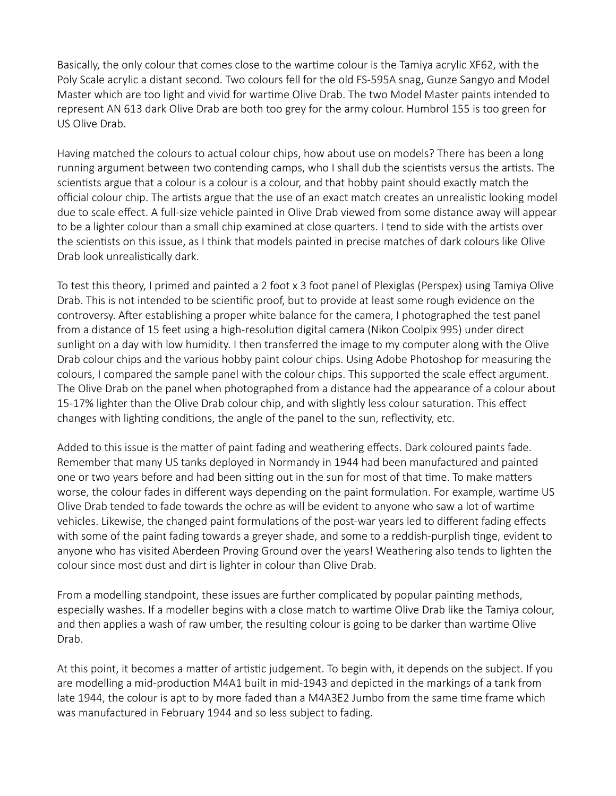Basically, the only colour that comes close to the wartime colour is the Tamiya acrylic XF62, with the Poly Scale acrylic a distant second. Two colours fell for the old FS-595A snag, Gunze Sangyo and Model Master which are too light and vivid for wartime Olive Drab. The two Model Master paints intended to represent AN 613 dark Olive Drab are both too grey for the army colour. Humbrol 155 is too green for US Olive Drab.

Having matched the colours to actual colour chips, how about use on models? There has been a long running argument between two contending camps, who I shall dub the scientists versus the artists. The scientists argue that a colour is a colour is a colour, and that hobby paint should exactly match the official colour chip. The artists argue that the use of an exact match creates an unrealistic looking model due to scale effect. A full-size vehicle painted in Olive Drab viewed from some distance away will appear to be a lighter colour than a small chip examined at close quarters. I tend to side with the artists over the scientists on this issue, as I think that models painted in precise matches of dark colours like Olive Drab look unrealistically dark.

To test this theory, I primed and painted a 2 foot x 3 foot panel of Plexiglas (Perspex) using Tamiya Olive Drab. This is not intended to be scientific proof, but to provide at least some rough evidence on the controversy. After establishing a proper white balance for the camera, I photographed the test panel from a distance of 15 feet using a high-resolution digital camera (Nikon Coolpix 995) under direct sunlight on a day with low humidity. I then transferred the image to my computer along with the Olive Drab colour chips and the various hobby paint colour chips. Using Adobe Photoshop for measuring the colours, I compared the sample panel with the colour chips. This supported the scale effect argument. The Olive Drab on the panel when photographed from a distance had the appearance of a colour about 15-17% lighter than the Olive Drab colour chip, and with slightly less colour saturation. This effect changes with lighting conditions, the angle of the panel to the sun, reflectivity, etc.

Added to this issue is the matter of paint fading and weathering effects. Dark coloured paints fade. Remember that many US tanks deployed in Normandy in 1944 had been manufactured and painted one or two years before and had been sitting out in the sun for most of that time. To make matters worse, the colour fades in different ways depending on the paint formulation. For example, wartime US Olive Drab tended to fade towards the ochre as will be evident to anyone who saw a lot of wartime vehicles. Likewise, the changed paint formulations of the post-war years led to different fading effects with some of the paint fading towards a greyer shade, and some to a reddish-purplish tinge, evident to anyone who has visited Aberdeen Proving Ground over the years! Weathering also tends to lighten the colour since most dust and dirt is lighter in colour than Olive Drab.

From a modelling standpoint, these issues are further complicated by popular painting methods, especially washes. If a modeller begins with a close match to wartime Olive Drab like the Tamiya colour, and then applies a wash of raw umber, the resulting colour is going to be darker than wartime Olive Drab.

At this point, it becomes a matter of artistic judgement. To begin with, it depends on the subject. If you are modelling a mid-production M4A1 built in mid-1943 and depicted in the markings of a tank from late 1944, the colour is apt to by more faded than a M4A3E2 Jumbo from the same time frame which was manufactured in February 1944 and so less subject to fading.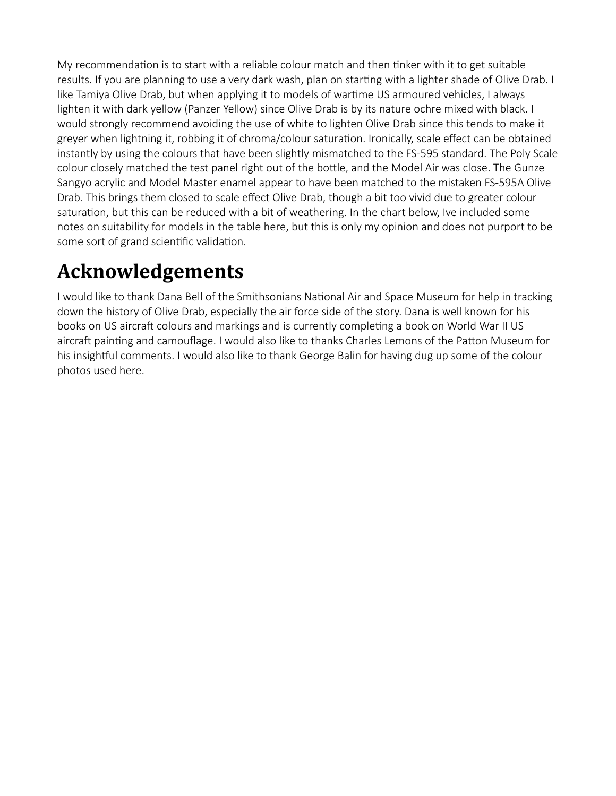My recommendation is to start with a reliable colour match and then tinker with it to get suitable results. If you are planning to use a very dark wash, plan on starting with a lighter shade of Olive Drab. I like Tamiya Olive Drab, but when applying it to models of wartime US armoured vehicles, I always lighten it with dark yellow (Panzer Yellow) since Olive Drab is by its nature ochre mixed with black. I would strongly recommend avoiding the use of white to lighten Olive Drab since this tends to make it greyer when lightning it, robbing it of chroma/colour saturation. Ironically, scale effect can be obtained instantly by using the colours that have been slightly mismatched to the FS-595 standard. The Poly Scale colour closely matched the test panel right out of the bottle, and the Model Air was close. The Gunze Sangyo acrylic and Model Master enamel appear to have been matched to the mistaken FS-595A Olive Drab. This brings them closed to scale effect Olive Drab, though a bit too vivid due to greater colour saturation, but this can be reduced with a bit of weathering. In the chart below, Ive included some notes on suitability for models in the table here, but this is only my opinion and does not purport to be some sort of grand scientific validation.

## **Acknowledgements**

I would like to thank Dana Bell of the Smithsonians National Air and Space Museum for help in tracking down the history of Olive Drab, especially the air force side of the story. Dana is well known for his books on US aircraft colours and markings and is currently completing a book on World War II US aircraft painting and camouflage. I would also like to thanks Charles Lemons of the Patton Museum for his insightful comments. I would also like to thank George Balin for having dug up some of the colour photos used here.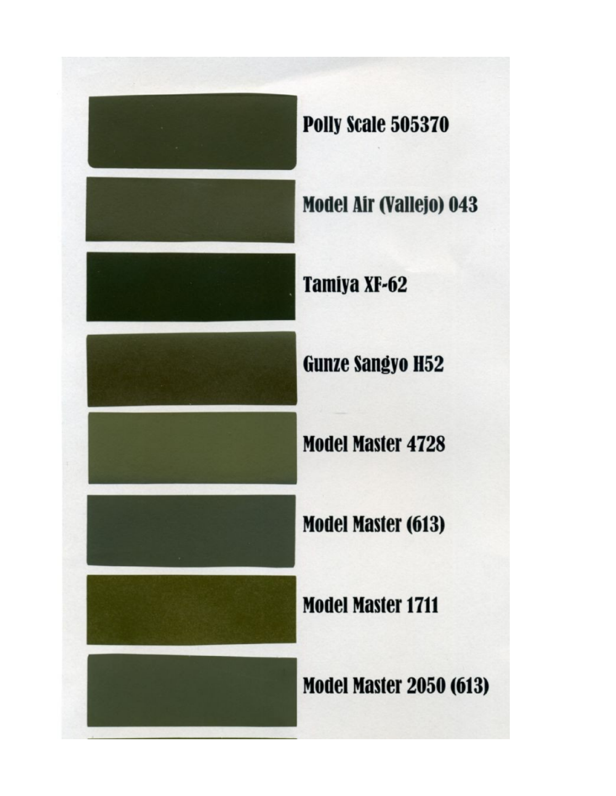